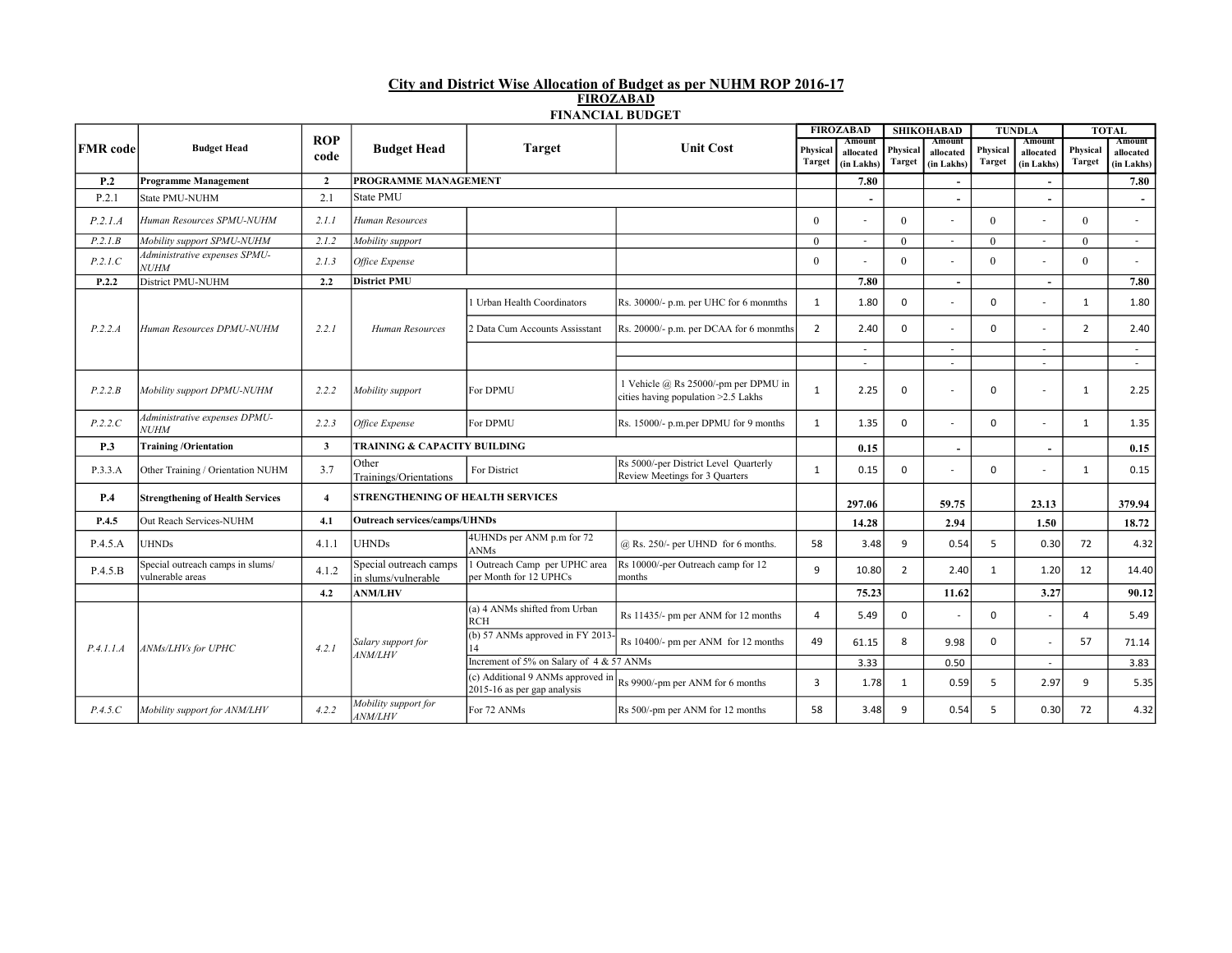## City and District Wise Allocation of Budget as per NUHM ROP 2016-17 FIROZABAD FINANCIAL BUDGET

|                 |                                                      |                         |                                               |                                                                  |                                                                             |                | <b>FIROZABAD</b>         |                | <b>SHIKOHABAD</b>        | <b>TUNDLA</b> |                          | <b>TOTAL</b>   |                         |
|-----------------|------------------------------------------------------|-------------------------|-----------------------------------------------|------------------------------------------------------------------|-----------------------------------------------------------------------------|----------------|--------------------------|----------------|--------------------------|---------------|--------------------------|----------------|-------------------------|
| <b>FMR</b> code | <b>Budget Head</b>                                   | <b>ROP</b>              | <b>Budget Head</b>                            | <b>Target</b>                                                    | <b>Unit Cost</b>                                                            | Physical       | Amount                   | Physical       | Amount                   | Physical      | Amount                   | Physical       | Amount                  |
|                 |                                                      | code                    |                                               |                                                                  |                                                                             | Target         | allocated<br>(in Lakhs)  | Target         | allocated<br>(in Lakhs)  | <b>Target</b> | allocated<br>(in Lakhs)  | <b>Target</b>  | allocated<br>(in Lakhs) |
| <b>P.2</b>      | <b>Programme Management</b>                          | $\overline{2}$          | PROGRAMME MANAGEMENT                          |                                                                  |                                                                             |                | 7.80                     |                |                          |               |                          |                | 7.80                    |
| P.2.1           | State PMU-NUHM                                       | 2.1                     | State PMU                                     |                                                                  |                                                                             |                |                          |                |                          |               |                          |                |                         |
|                 |                                                      |                         |                                               |                                                                  |                                                                             |                |                          |                | $\overline{\phantom{a}}$ |               | $\sim$                   |                | $\sim$                  |
| P.2.1.A         | Human Resources SPMU-NUHM                            | 2.1.1                   | Human Resources                               |                                                                  |                                                                             | $\theta$       |                          | $\theta$       |                          | $\theta$      |                          | $\Omega$       | $\sim$                  |
| P.2.1B          | Mobility support SPMU-NUHM                           | 2.1.2                   | Mobility support                              |                                                                  |                                                                             | $\Omega$       | $\overline{a}$           | $\Omega$       | $\overline{\phantom{a}}$ | $\Omega$      | $\overline{\phantom{0}}$ | $\Omega$       | $\sim$                  |
| P.2.1.C         | Administrative expenses SPMU-<br><b>NUHM</b>         | 2.1.3                   | Office Expense                                |                                                                  |                                                                             | $\theta$       |                          | $\theta$       |                          | $\theta$      |                          | $\Omega$       | $\sim$                  |
| P.2.2           | District PMU-NUHM                                    | 2.2                     | <b>District PMU</b>                           |                                                                  |                                                                             |                | 7.80                     |                | $\sim$                   |               |                          |                | 7.80                    |
|                 |                                                      |                         |                                               | Urban Health Coordinators                                        | Rs. 30000/- p.m. per UHC for 6 monmths                                      | $\mathbf{1}$   | 1.80                     | 0              |                          | $\Omega$      |                          | 1              | 1.80                    |
| P.2.2.A         | Human Resources DPMU-NUHM                            | 2.2.1                   | Human Resources                               | <b>Data Cum Accounts Assisstant</b>                              | Rs. 20000/- p.m. per DCAA for 6 monmths                                     | $\overline{2}$ | 2.40                     | 0              |                          | $\Omega$      |                          | $\overline{2}$ | 2.40                    |
|                 |                                                      |                         |                                               |                                                                  |                                                                             |                | $\overline{\phantom{a}}$ |                | $\overline{\phantom{a}}$ |               | ٠                        |                | $\sim$                  |
|                 |                                                      |                         |                                               |                                                                  |                                                                             |                |                          |                |                          |               | $\overline{a}$           |                | $\sim$                  |
| P.2.2.B         | Mobility support DPMU-NUHM                           | 2.2.2                   | Mobility support                              | For DPMU                                                         | 1 Vehicle @ Rs 25000/-pm per DPMU in<br>cities having population >2.5 Lakhs | $\mathbf{1}$   | 2.25                     | $\mathbf 0$    | $\overline{\phantom{a}}$ | $\mathbf 0$   |                          | $\mathbf{1}$   | 2.25                    |
| P.2.2.C         | Administrative expenses DPMU-<br><b>NUHM</b>         | 2.2.3                   | Office Expense                                | For DPMU                                                         | Rs. 15000/- p.m.per DPMU for 9 months                                       | $\mathbf{1}$   | 1.35                     | $\mathbf 0$    |                          | $\Omega$      |                          | 1              | 1.35                    |
| <b>P.3</b>      | <b>Training/Orientation</b>                          | $\overline{\mathbf{3}}$ | <b>TRAINING &amp; CAPACITY BUILDING</b>       |                                                                  |                                                                             |                | 0.15                     |                |                          |               | $\sim$                   |                | 0.15                    |
| P.3.3.A         | Other Training / Orientation NUHM                    | 3.7                     | Other<br>Trainings/Orientations               | For District                                                     | Rs 5000/-per District Level Quarterly<br>Review Meetings for 3 Quarters     | $\mathbf{1}$   | 0.15                     | $\Omega$       |                          | $\Omega$      |                          | $\mathbf{1}$   | 0.15                    |
| <b>P.4</b>      | <b>Strengthening of Health Services</b>              | $\overline{\mathbf{4}}$ | <b>STRENGTHENING OF HEALTH SERVICES</b>       |                                                                  |                                                                             |                | 297.06                   |                | 59.75                    |               | 23.13                    |                | 379.94                  |
| P.4.5           | Out Reach Services-NUHM                              | 4.1                     | <b>Outreach services/camps/UHNDs</b>          |                                                                  |                                                                             |                | 14.28                    |                | 2.94                     |               | 1.50                     |                | 18.72                   |
| P.4.5.A         | <b>UHNDs</b>                                         | 4.1.1                   | <b>UHNDs</b>                                  | 4UHNDs per ANM p.m for 72<br><b>ANMs</b>                         | $@$ Rs. 250/- per UHND for 6 months.                                        | 58             | 3.48                     | 9              | 0.54                     | 5             | 0.30                     | 72             | 4.32                    |
| P.4.5.B         | Special outreach camps in slums/<br>vulnerable areas | 4.1.2                   | Special outreach camps<br>in slums/vulnerable | Outreach Camp per UPHC area<br>per Month for 12 UPHCs            | Rs 10000/-per Outreach camp for 12<br>months                                | 9              | 10.80                    | $\overline{2}$ | 2.40                     | 1             | 1.20                     | 12             | 14.40                   |
|                 |                                                      | 4.2                     | <b>ANM/LHV</b>                                |                                                                  |                                                                             |                | 75.23                    |                | 11.62                    |               | 3.27                     |                | 90.12                   |
| P.4.1.1.A       |                                                      |                         | Salary support for<br><i>ANM/LHV</i>          | (a) 4 ANMs shifted from Urban<br><b>RCH</b>                      | Rs 11435/- pm per ANM for 12 months                                         | $\overline{4}$ | 5.49                     | $\mathbf 0$    |                          | $\mathbf 0$   | $\overline{\phantom{a}}$ | Δ              | 5.49                    |
|                 | ANMs/LHVs for UPHC                                   | 4.2.1                   |                                               | (b) 57 ANMs approved in FY 2013                                  | Rs 10400/- pm per ANM for 12 months                                         | 49             | 61.15                    | 8              | 9.98                     | 0             | $\overline{\phantom{a}}$ | 57             | 71.14                   |
|                 |                                                      |                         |                                               | Increment of 5% on Salary of 4 & 57 ANMs                         |                                                                             |                | 3.33                     |                | 0.50                     |               | $\overline{\phantom{a}}$ |                | 3.83                    |
|                 |                                                      |                         |                                               | (c) Additional 9 ANMs approved in<br>2015-16 as per gap analysis | Rs 9900/-pm per ANM for 6 months                                            | 3              | 1.78                     | $\mathbf{1}$   | 0.59                     | 5             | 2.97                     | 9              | 5.35                    |
| P.4.5.C         | Mobility support for ANM/LHV                         | 4.2.2                   | Mobility support for<br><i>ANM/LHV</i>        | For 72 ANMs                                                      | Rs 500/-pm per ANM for 12 months                                            | 58             | 3.48                     | 9              | 0.54                     | 5             | 0.30                     | 72             | 4.32                    |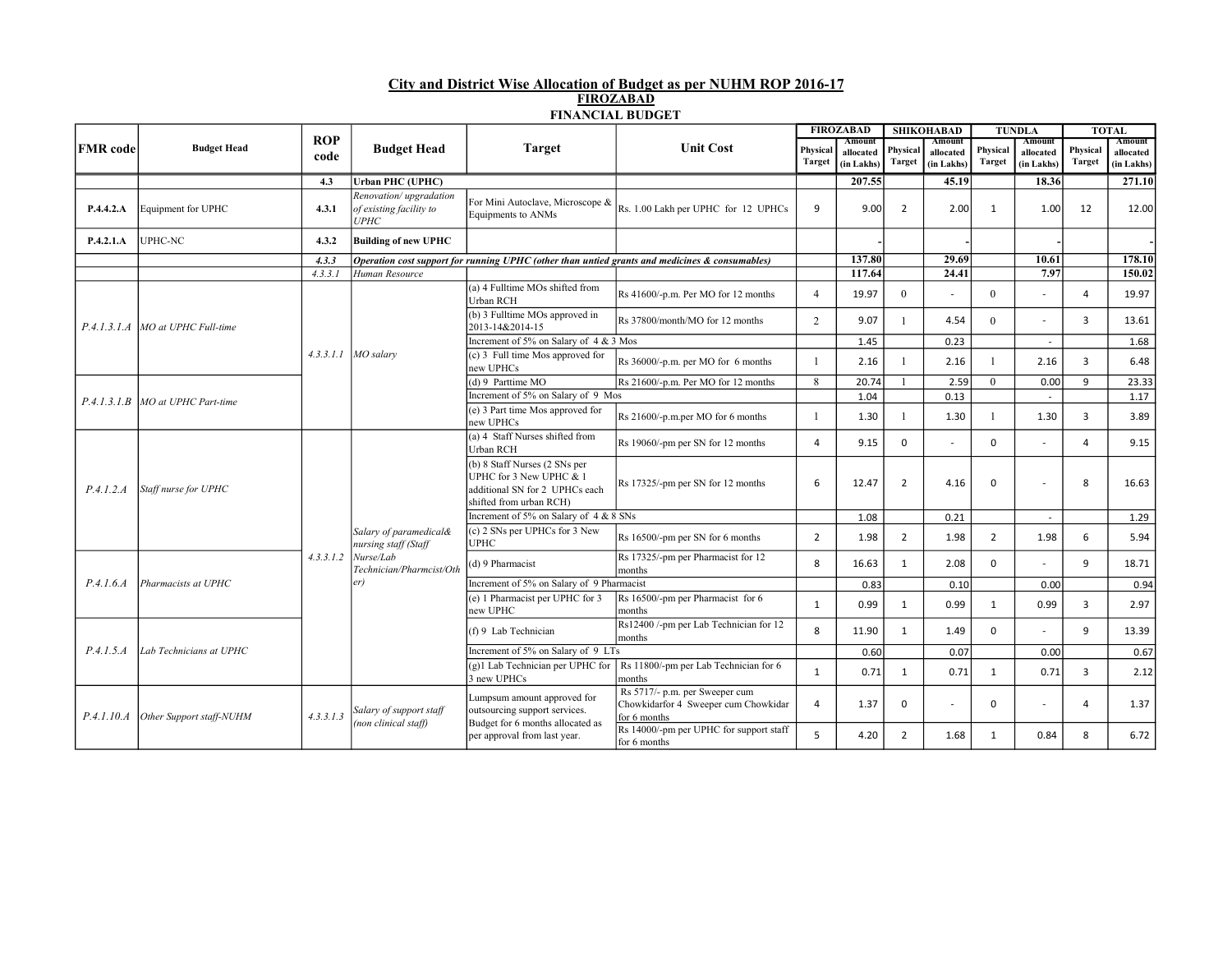## City and District Wise Allocation of Budget as per NUHM ROP 2016-17 FIROZABAD FINANCIAL BUDGET

|                 | <b>Budget Head</b>       |            | <b>Budget Head</b>                                                                             | <b>Target</b>                                                                                                         |                                                                                                | <b>FIROZABAD</b> |                     |                | <b>SHIKOHABAD</b>        | <b>TUNDLA</b>  |                          |                | <b>TOTAL</b>        |
|-----------------|--------------------------|------------|------------------------------------------------------------------------------------------------|-----------------------------------------------------------------------------------------------------------------------|------------------------------------------------------------------------------------------------|------------------|---------------------|----------------|--------------------------|----------------|--------------------------|----------------|---------------------|
| <b>FMR</b> code |                          | <b>ROP</b> |                                                                                                |                                                                                                                       | <b>Unit Cost</b>                                                                               | Physical         | Amount<br>allocated | Physical       | Amount<br>allocated      | Physical       | Amount<br>allocated      | Physical       | Amount<br>allocated |
|                 |                          | code       |                                                                                                |                                                                                                                       |                                                                                                | <b>Target</b>    | (in Lakhs)          | <b>Target</b>  | (in Lakhs)               | <b>Target</b>  | (in Lakhs)               | <b>Target</b>  | (in Lakhs)          |
|                 |                          | 4.3        | <b>Urban PHC (UPHC)</b>                                                                        |                                                                                                                       |                                                                                                |                  | 207.55              |                | 45.19                    |                | 18.36                    |                | 271.10              |
| P.4.4.2.A       | Equipment for UPHC       | 4.3.1      | Renovation/upgradation<br>of existing facility to<br><b>UPHC</b>                               | For Mini Autoclave, Microscope &<br>Equipments to ANMs                                                                | Rs. 1.00 Lakh per UPHC for 12 UPHCs                                                            | 9                | 9.00                | $\overline{2}$ | 2.00                     | 1              | 1.00                     | 12             | 12.00               |
| P.4.2.1.A       | UPHC-NC                  | 4.3.2      | <b>Building of new UPHC</b>                                                                    |                                                                                                                       |                                                                                                |                  |                     |                |                          |                |                          |                |                     |
|                 |                          | 4.3.3      |                                                                                                |                                                                                                                       | Operation cost support for running UPHC (other than untied grants and medicines & consumables) |                  | 137.80              |                | 29.69                    |                | 10.61                    |                | 178.10              |
|                 |                          | 4.3.3.1    | Human Resource                                                                                 |                                                                                                                       |                                                                                                |                  | 117.64              |                | 24.41                    |                | 7.97                     |                | 150.02              |
|                 |                          |            |                                                                                                | (a) 4 Fulltime MOs shifted from<br>Urban RCH                                                                          | Rs 41600/-p.m. Per MO for 12 months                                                            | $\overline{4}$   | 19.97               | $\theta$       |                          | $\theta$       | ٠                        | 4              | 19.97               |
| P.4.1.3.1.4     | MO at UPHC Full-time     |            |                                                                                                | (b) 3 Fulltime MOs approved in<br>Rs 37800/month/MO for 12 months<br>2013-14&2014-15                                  |                                                                                                | $\overline{2}$   | 9.07                | $\mathbf{1}$   | 4.54                     | $\Omega$       |                          | 3              | 13.61               |
|                 |                          |            |                                                                                                | Increment of 5% on Salary of $4 \& 3$ Mos                                                                             |                                                                                                |                  | 1.45                |                | 0.23                     |                | $\overline{\phantom{a}}$ |                | 1.68                |
|                 |                          |            | $4.3.3.1.1$ MO salary                                                                          | (c) 3 Full time Mos approved for<br>new UPHCs                                                                         | Rs 36000/-p.m. per MO for 6 months                                                             | $\mathbf{1}$     | 2.16                | $\overline{1}$ | 2.16                     |                | 2.16                     | 3              | 6.48                |
|                 | MO at UPHC Part-time     |            |                                                                                                | (d) 9 Parttime $\overline{MO}$                                                                                        | Rs 21600/-p.m. Per MO for 12 months                                                            | 8                | 20.74               | $\overline{1}$ | 2.59                     | $\theta$       | 0.00                     | 9              | 23.33               |
| P.4.1.3.1.B     |                          |            |                                                                                                | Increment of 5% on Salary of 9 Mos                                                                                    |                                                                                                |                  | 1.04                |                | 0.13                     |                |                          |                | 1.17                |
|                 |                          |            |                                                                                                | (e) 3 Part time Mos approved for<br>new UPHCs                                                                         | Rs 21600/-p.m.per MO for 6 months                                                              | 1                | 1.30                | $\overline{1}$ | 1.30                     |                | 1.30                     | 3              | 3.89                |
|                 | Staff nurse for UPHC     |            | Salary of paramedical&<br>nursing staff (Staff<br>Nurse/Lab<br>Technician/Pharmcist/Oth<br>er) | (a) 4 Staff Nurses shifted from<br><b>Urban RCH</b>                                                                   | Rs 19060/-pm per SN for 12 months                                                              | $\overline{4}$   | 9.15                | $\mathbf 0$    |                          | $\mathbf 0$    |                          | $\overline{a}$ | 9.15                |
| P.4.1.2.A       |                          |            |                                                                                                | (b) 8 Staff Nurses (2 SNs per<br>UPHC for 3 New UPHC & 1<br>additional SN for 2 UPHCs each<br>shifted from urban RCH) | Rs 17325/-pm per SN for 12 months                                                              | 6                | 12.47               | $\overline{2}$ | 4.16                     | $\Omega$       |                          | 8              | 16.63               |
|                 |                          |            |                                                                                                | Increment of 5% on Salary of 4 & 8 SNs                                                                                |                                                                                                |                  | 1.08                |                | 0.21                     |                | $\sim$                   |                | 1.29                |
|                 |                          |            |                                                                                                | $(c)$ 2 SNs per UPHCs for 3 New<br><b>UPHC</b>                                                                        | Rs 16500/-pm per SN for 6 months                                                               | $\overline{2}$   | 1.98                | $\overline{2}$ | 1.98                     | $\overline{2}$ | 1.98                     | 6              | 5.94                |
|                 |                          | 4.3.3.1.2  |                                                                                                | (d) 9 Pharmacist                                                                                                      | Rs 17325/-pm per Pharmacist for 12<br>months                                                   | 8                | 16.63               | 1              | 2.08                     | $\Omega$       |                          | 9              | 18.71               |
| P.4.1.6.4       | Pharmacists at UPHC      |            |                                                                                                | Increment of 5% on Salary of 9 Pharmacist                                                                             |                                                                                                |                  | 0.83                |                | 0.10                     |                | 0.00                     |                | 0.94                |
|                 |                          |            |                                                                                                | (e) 1 Pharmacist per UPHC for 3<br>new UPHC                                                                           | Rs 16500/-pm per Pharmacist for 6<br>months                                                    | $\mathbf{1}$     | 0.99                | $\mathbf{1}$   | 0.99                     | 1              | 0.99                     | 3              | 2.97                |
| P.4.1.5.4       | Lab Technicians at UPHC  |            |                                                                                                | (f) 9 Lab Technician                                                                                                  | Rs12400 /-pm per Lab Technician for 12<br>months                                               | 8                | 11.90               | $\mathbf{1}$   | 1.49                     | $\mathbf 0$    |                          | 9              | 13.39               |
|                 |                          |            |                                                                                                | Increment of 5% on Salary of 9 LTs                                                                                    |                                                                                                |                  | 0.60                |                | 0.07                     |                | 0.00                     |                | 0.67                |
|                 |                          |            |                                                                                                | 3 new UPHCs                                                                                                           | (g)1 Lab Technician per UPHC for $\ $ Rs 11800/-pm per Lab Technician for 6<br>months          | $\mathbf{1}$     | 0.71                | $\mathbf{1}$   | 0.71                     | 1              | 0.71                     | 3              | 2.12                |
| P.4.1.10.4      | Other Support staff-NUHM | 4.3.3.1.3  | Salary of support staff<br>(non clinical staff)                                                | Lumpsum amount approved for<br>outsourcing support services.<br>Budget for 6 months allocated as                      | Rs 5717/- p.m. per Sweeper cum<br>Chowkidarfor 4 Sweeper cum Chowkidar<br>for 6 months         | $\overline{a}$   | 1.37                | $\mathbf 0$    | $\overline{\phantom{a}}$ | $\Omega$       |                          | $\overline{a}$ | 1.37                |
|                 |                          |            |                                                                                                | per approval from last year.                                                                                          | Rs 14000/-pm per UPHC for support staff<br>for 6 months                                        | 5                | 4.20                | $\overline{2}$ | 1.68                     | 1              | 0.84                     | 8              | 6.72                |